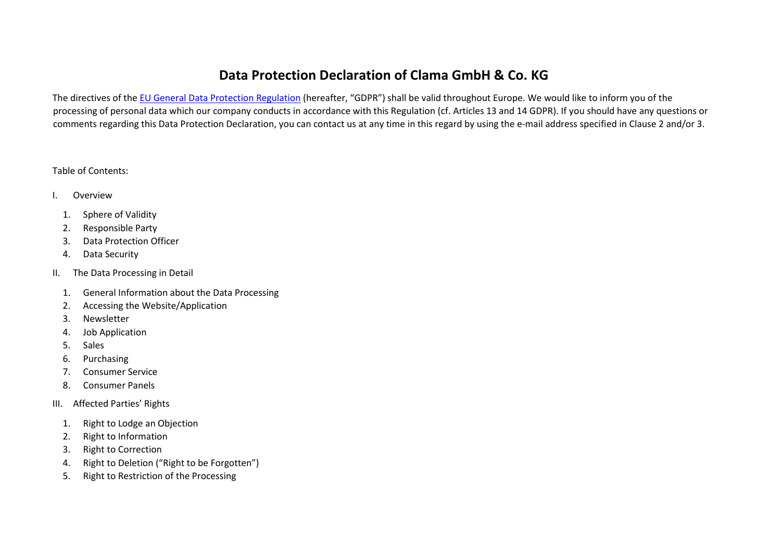# **Data Protection Declaration of Clama GmbH & Co. KG**

The directives of the EU General Data Protection Regulation (hereafter, "GDPR") shall be valid throughout Europe. We would like to inform you of the processing of personal data which our company conducts in accordance with this Regulation (cf. Articles 13 and 14 GDPR). If you should have any questions or comments regarding this Data Protection Declaration, you can contact us at any time in this regard by using the e-mail address specified in Clause 2 and/or 3.

### Table of Contents:

- I. Overview
	- 1. Sphere of Validity
	- 2. Responsible Party
	- 3. Data Protection Officer
	- 4. Data Security
- II. The Data Processing in Detail
	- 1. General Information about the Data Processing
	- 2. Accessing the Website/Application
	- 3. Newsletter
	- 4. Job Application
	- 5. Sales
	- 6. Purchasing
	- 7. Consumer Service
	- 8. Consumer Panels
- III. Affected Parties' Rights
	- 1. Right to Lodge an Objection
	- 2. Right to Information
	- 3. Right to Correction
	- 4. Right to Deletion ("Right to be Forgotten")
	- 5. Right to Restriction of the Processing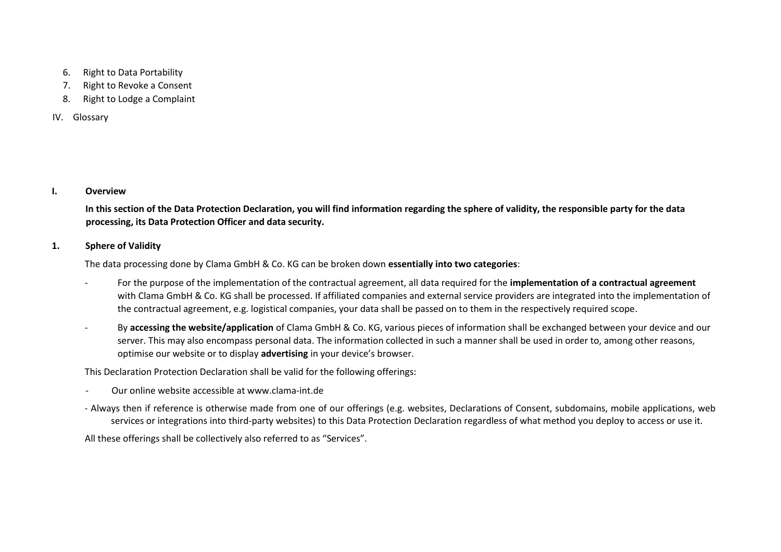- 6. Right to Data Portability
- 7. Right to Revoke a Consent
- 8. Right to Lodge a Complaint

### IV. Glossary

### **I. Overview**

**In this section of the Data Protection Declaration, you will find information regarding the sphere of validity, the responsible party for the data processing, its Data Protection Officer and data security.** 

### **1. Sphere of Validity**

The data processing done by Clama GmbH & Co. KG can be broken down **essentially into two categories**:

- ‐ For the purpose of the implementation of the contractual agreement, all data required for the **implementation of a contractual agreement**  with Clama GmbH & Co. KG shall be processed. If affiliated companies and external service providers are integrated into the implementation of the contractual agreement, e.g. logistical companies, your data shall be passed on to them in the respectively required scope.
- ‐ By **accessing the website/application** of Clama GmbH & Co. KG, various pieces of information shall be exchanged between your device and our server. This may also encompass personal data. The information collected in such a manner shall be used in order to, among other reasons, optimise our website or to display **advertising** in your device's browser.

This Declaration Protection Declaration shall be valid for the following offerings:

- ‐ Our online website accessible at www.clama‐int.de
- ‐ Always then if reference is otherwise made from one of our offerings (e.g. websites, Declarations of Consent, subdomains, mobile applications, web services or integrations into third-party websites) to this Data Protection Declaration regardless of what method you deploy to access or use it.

All these offerings shall be collectively also referred to as "Services".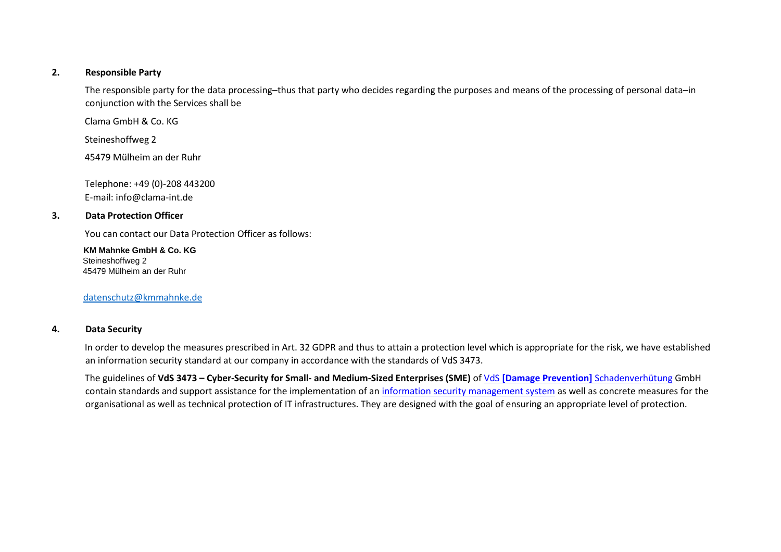### **2. Responsible Party**

The responsible party for the data processing–thus that party who decides regarding the purposes and means of the processing of personal data–in conjunction with the Services shall be

Clama GmbH & Co. KG

Steineshoffweg 2

45479 Mülheim an der Ruhr

Telephone: +49 (0)‐208 443200 E‐mail: info@clama‐int.de

### **3. Data Protection Officer**

You can contact our Data Protection Officer as follows:

 **KM Mahnke GmbH & Co. KG**  Steineshoffweg 2 45479 Mülheim an der Ruhr

datenschutz@kmmahnke.de

### **4. Data Security**

In order to develop the measures prescribed in Art. 32 GDPR and thus to attain a protection level which is appropriate for the risk, we have established an information security standard at our company in accordance with the standards of VdS 3473.

The guidelines of **VdS 3473 – Cyber‐Security for Small‐ and Medium‐Sized Enterprises (SME)** of VdS **[Damage Prevention]** Schadenverhütung GmbH contain standards and support assistance for the implementation of an information security management system as well as concrete measures for the organisational as well as technical protection of IT infrastructures. They are designed with the goal of ensuring an appropriate level of protection.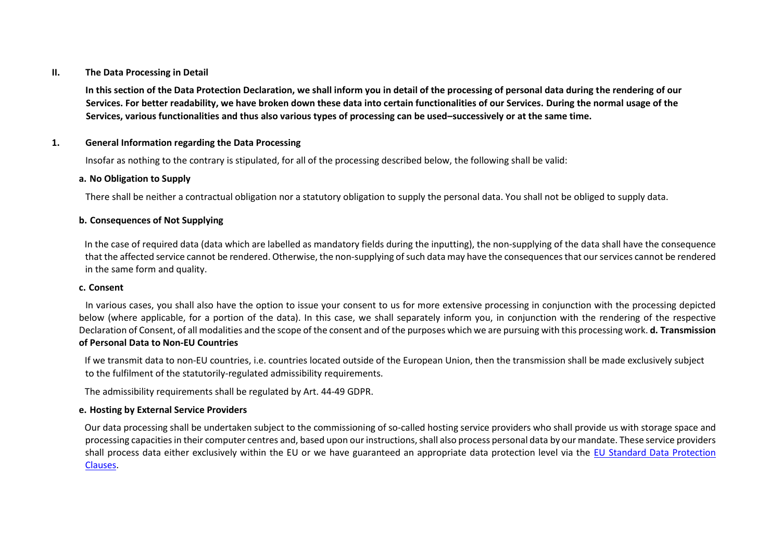### **II. The Data Processing in Detail**

**In this section of the Data Protection Declaration, we shall inform you in detail of the processing of personal data during the rendering of our Services. For better readability, we have broken down these data into certain functionalities of our Services. During the normal usage of the Services, various functionalities and thus also various types of processing can be used–successively or at the same time.** 

### **1. General Information regarding the Data Processing**

Insofar as nothing to the contrary is stipulated, for all of the processing described below, the following shall be valid:

### **a. No Obligation to Supply**

There shall be neither a contractual obligation nor a statutory obligation to supply the personal data. You shall not be obliged to supply data.

### **b. Consequences of Not Supplying**

In the case of required data (data which are labelled as mandatory fields during the inputting), the non-supplying of the data shall have the consequence that the affected service cannot be rendered. Otherwise, the non‐supplying of such data may have the consequences that our services cannot be rendered in the same form and quality.

### **c. Consent**

In various cases, you shall also have the option to issue your consent to us for more extensive processing in conjunction with the processing depicted below (where applicable, for a portion of the data). In this case, we shall separately inform you, in conjunction with the rendering of the respective Declaration of Consent, of all modalities and the scope of the consent and of the purposes which we are pursuing with this processing work. **d. Transmission of Personal Data to Non‐EU Countries** 

If we transmit data to non‐EU countries, i.e. countries located outside of the European Union, then the transmission shall be made exclusively subject to the fulfilment of the statutorily‐regulated admissibility requirements.

The admissibility requirements shall be regulated by Art. 44‐49 GDPR.

### **e. Hosting by External Service Providers**

Our data processing shall be undertaken subject to the commissioning of so-called hosting service providers who shall provide us with storage space and processing capacities in their computer centres and, based upon our instructions, shall also process personal data by our mandate. These service providers shall process data either exclusively within the EU or we have guaranteed an appropriate data protection level via the EU Standard Data Protection Clauses.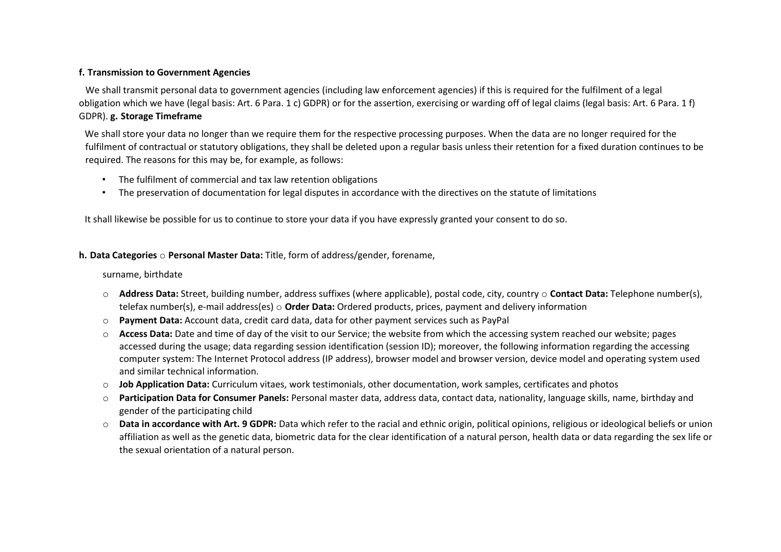### **f. Transmission to Government Agencies**

We shall transmit personal data to government agencies (including law enforcement agencies) if this is required for the fulfilment of a legal obligation which we have (legal basis: Art. 6 Para. 1 c) GDPR) or for the assertion, exercising or warding off of legal claims (legal basis: Art. 6 Para. 1 f) GDPR). **g. Storage Timeframe** 

We shall store your data no longer than we require them for the respective processing purposes. When the data are no longer required for the fulfilment of contractual or statutory obligations, they shall be deleted upon a regular basis unless their retention for a fixed duration continues to be required. The reasons for this may be, for example, as follows:

- The fulfilment of commercial and tax law retention obligations
- The preservation of documentation for legal disputes in accordance with the directives on the statute of limitations

It shall likewise be possible for us to continue to store your data if you have expressly granted your consent to do so.

### **h. Data Categories** o **Personal Master Data:** Title, form of address/gender, forename,

surname, birthdate

- o **Address Data:** Street, building number, address suffixes (where applicable), postal code, city, country o **Contact Data:** Telephone number(s), telefax number(s), e‐mail address(es) o **Order Data:** Ordered products, prices, payment and delivery information
- o **Payment Data:** Account data, credit card data, data for other payment services such as PayPal
- o **Access Data:** Date and time of day of the visit to our Service; the website from which the accessing system reached our website; pages accessed during the usage; data regarding session identification (session ID); moreover, the following information regarding the accessing computer system: The Internet Protocol address (IP address), browser model and browser version, device model and operating system used and similar technical information.
- o **Job Application Data:** Curriculum vitaes, work testimonials, other documentation, work samples, certificates and photos
- o **Participation Data for Consumer Panels:** Personal master data, address data, contact data, nationality, language skills, name, birthday and gender of the participating child
- o **Data in accordance with Art. 9 GDPR:** Data which refer to the racial and ethnic origin, political opinions, religious or ideological beliefs or union affiliation as well as the genetic data, biometric data for the clear identification of a natural person, health data or data regarding the sex life or the sexual orientation of a natural person.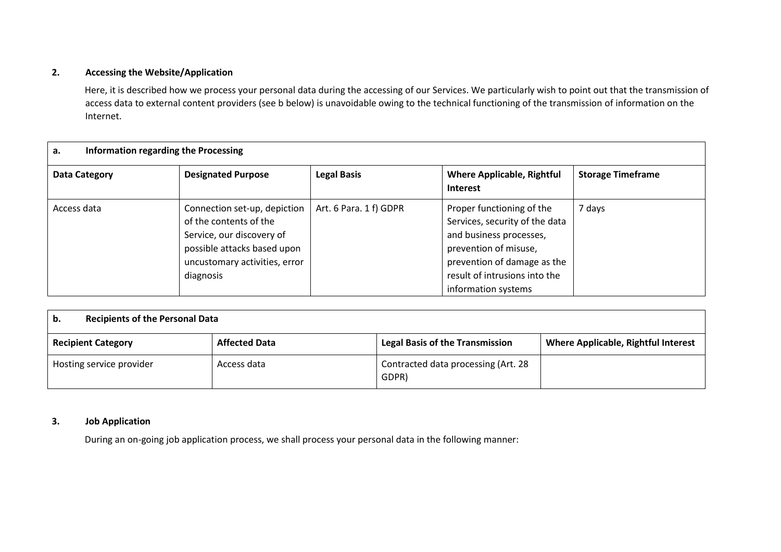### **2. Accessing the Website/Application**

Here, it is described how we process your personal data during the accessing of our Services. We particularly wish to point out that the transmission of access data to external content providers (see b below) is unavoidable owing to the technical functioning of the transmission of information on the Internet.

| Information regarding the Processing<br>а. |                                                                                                                                                                  |                        |                                                                                                                                                                                                        |                          |
|--------------------------------------------|------------------------------------------------------------------------------------------------------------------------------------------------------------------|------------------------|--------------------------------------------------------------------------------------------------------------------------------------------------------------------------------------------------------|--------------------------|
| Data Category                              | <b>Designated Purpose</b>                                                                                                                                        | <b>Legal Basis</b>     | <b>Where Applicable, Rightful</b><br><b>Interest</b>                                                                                                                                                   | <b>Storage Timeframe</b> |
| Access data                                | Connection set-up, depiction<br>of the contents of the<br>Service, our discovery of<br>possible attacks based upon<br>uncustomary activities, error<br>diagnosis | Art. 6 Para. 1 f) GDPR | Proper functioning of the<br>Services, security of the data<br>and business processes,<br>prevention of misuse,<br>prevention of damage as the<br>result of intrusions into the<br>information systems | 7 days                   |

| <b>Recipients of the Personal Data</b><br>b. |                      |                                              |                                            |  |
|----------------------------------------------|----------------------|----------------------------------------------|--------------------------------------------|--|
| <b>Recipient Category</b>                    | <b>Affected Data</b> | <b>Legal Basis of the Transmission</b>       | <b>Where Applicable, Rightful Interest</b> |  |
| Hosting service provider                     | Access data          | Contracted data processing (Art. 28<br>GDPR) |                                            |  |

### **3. Job Application**

During an on‐going job application process, we shall process your personal data in the following manner: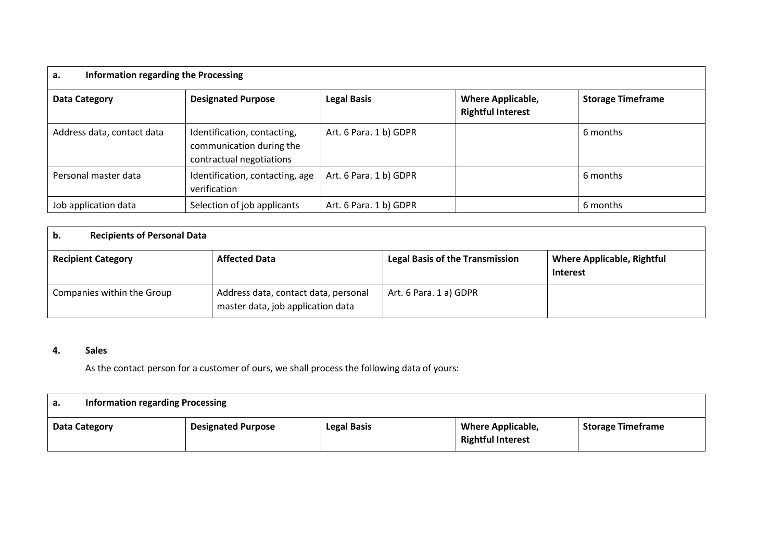| Information regarding the Processing<br>а. |                                                                                     |                        |                                                      |                          |
|--------------------------------------------|-------------------------------------------------------------------------------------|------------------------|------------------------------------------------------|--------------------------|
| Data Category                              | <b>Designated Purpose</b>                                                           | <b>Legal Basis</b>     | <b>Where Applicable,</b><br><b>Rightful Interest</b> | <b>Storage Timeframe</b> |
| Address data, contact data                 | Identification, contacting,<br>communication during the<br>contractual negotiations | Art. 6 Para. 1 b) GDPR |                                                      | 6 months                 |
| Personal master data                       | Identification, contacting, age<br>verification                                     | Art. 6 Para. 1 b) GDPR |                                                      | 6 months                 |
| Job application data                       | Selection of job applicants                                                         | Art. 6 Para. 1 b) GDPR |                                                      | 6 months                 |

| <b>Recipients of Personal Data</b><br>b. |                                                                           |                                        |                                                      |
|------------------------------------------|---------------------------------------------------------------------------|----------------------------------------|------------------------------------------------------|
| <b>Recipient Category</b>                | <b>Affected Data</b>                                                      | <b>Legal Basis of the Transmission</b> | <b>Where Applicable, Rightful</b><br><b>Interest</b> |
| Companies within the Group               | Address data, contact data, personal<br>master data, job application data | Art. 6 Para. 1 a) GDPR                 |                                                      |

# **4. Sales**

As the contact person for a customer of ours, we shall process the following data of yours:

| <b>Information regarding Processing</b><br>а. |                           |                    |                                                      |                          |
|-----------------------------------------------|---------------------------|--------------------|------------------------------------------------------|--------------------------|
| Data Category                                 | <b>Designated Purpose</b> | <b>Legal Basis</b> | <b>Where Applicable,</b><br><b>Rightful Interest</b> | <b>Storage Timeframe</b> |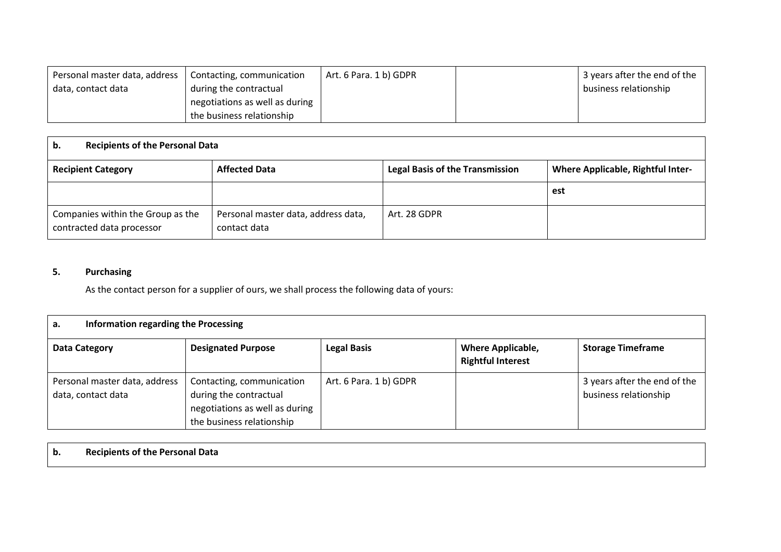| Personal master data, address | Contacting, communication      | Art. 6 Para. 1 b) GDPR | 3 years after the end of the |
|-------------------------------|--------------------------------|------------------------|------------------------------|
| data, contact data            | during the contractual         |                        | business relationship        |
|                               | negotiations as well as during |                        |                              |
|                               | the business relationship      |                        |                              |

| <b>Recipients of the Personal Data</b><br>b.                   |                                                     |                                        |                                          |  |
|----------------------------------------------------------------|-----------------------------------------------------|----------------------------------------|------------------------------------------|--|
| <b>Recipient Category</b>                                      | <b>Affected Data</b>                                | <b>Legal Basis of the Transmission</b> | <b>Where Applicable, Rightful Inter-</b> |  |
|                                                                |                                                     |                                        | est                                      |  |
| Companies within the Group as the<br>contracted data processor | Personal master data, address data,<br>contact data | Art. 28 GDPR                           |                                          |  |

# **5. Purchasing**

As the contact person for a supplier of ours, we shall process the following data of yours:

| Information regarding the Processing<br>a.          |                                                                                                                    |                        |                                                      |                                                       |
|-----------------------------------------------------|--------------------------------------------------------------------------------------------------------------------|------------------------|------------------------------------------------------|-------------------------------------------------------|
| Data Category                                       | <b>Designated Purpose</b>                                                                                          | <b>Legal Basis</b>     | <b>Where Applicable,</b><br><b>Rightful Interest</b> | <b>Storage Timeframe</b>                              |
| Personal master data, address<br>data, contact data | Contacting, communication<br>during the contractual<br>negotiations as well as during<br>the business relationship | Art. 6 Para. 1 b) GDPR |                                                      | 3 years after the end of the<br>business relationship |

| b. | <b>Recipients of the Personal Data</b> |  |  |  |  |
|----|----------------------------------------|--|--|--|--|
|----|----------------------------------------|--|--|--|--|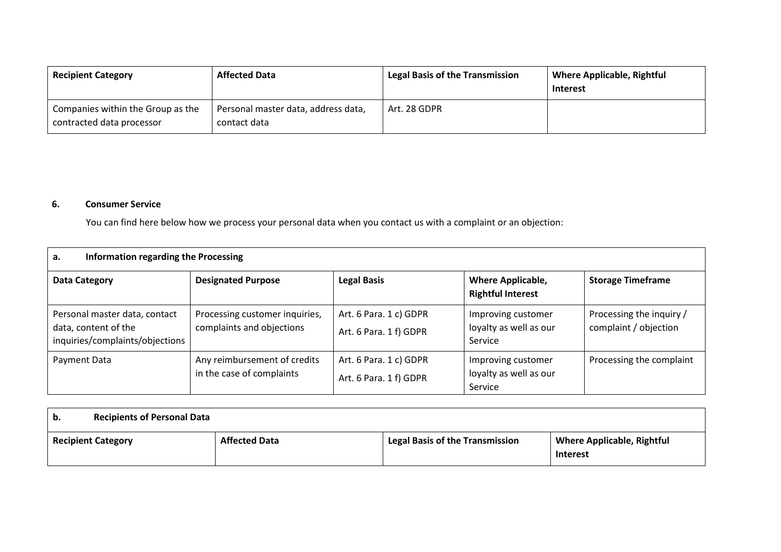| <b>Recipient Category</b>                                      | <b>Affected Data</b>                                | <b>Legal Basis of the Transmission</b> | <b>Where Applicable, Rightful</b><br><b>Interest</b> |
|----------------------------------------------------------------|-----------------------------------------------------|----------------------------------------|------------------------------------------------------|
| Companies within the Group as the<br>contracted data processor | Personal master data, address data,<br>contact data | Art. 28 GDPR                           |                                                      |

### **6. Consumer Service**

You can find here below how we process your personal data when you contact us with a complaint or an objection:

| Information regarding the Processing<br>a.                                               |                                                             |                                                  |                                                         |                                                   |
|------------------------------------------------------------------------------------------|-------------------------------------------------------------|--------------------------------------------------|---------------------------------------------------------|---------------------------------------------------|
| Data Category                                                                            | <b>Designated Purpose</b>                                   | <b>Legal Basis</b>                               | <b>Where Applicable,</b><br><b>Rightful Interest</b>    | <b>Storage Timeframe</b>                          |
| Personal master data, contact<br>data, content of the<br>inquiries/complaints/objections | Processing customer inquiries,<br>complaints and objections | Art. 6 Para. 1 c) GDPR<br>Art. 6 Para. 1 f) GDPR | Improving customer<br>loyalty as well as our<br>Service | Processing the inquiry /<br>complaint / objection |
| Payment Data                                                                             | Any reimbursement of credits<br>in the case of complaints   | Art. 6 Para. 1 c) GDPR<br>Art. 6 Para. 1 f) GDPR | Improving customer<br>loyalty as well as our<br>Service | Processing the complaint                          |

| b.                        | <b>Recipients of Personal Data</b> |                                        |                                                      |  |  |
|---------------------------|------------------------------------|----------------------------------------|------------------------------------------------------|--|--|
| <b>Recipient Category</b> | <b>Affected Data</b>               | <b>Legal Basis of the Transmission</b> | <b>Where Applicable, Rightful</b><br><b>Interest</b> |  |  |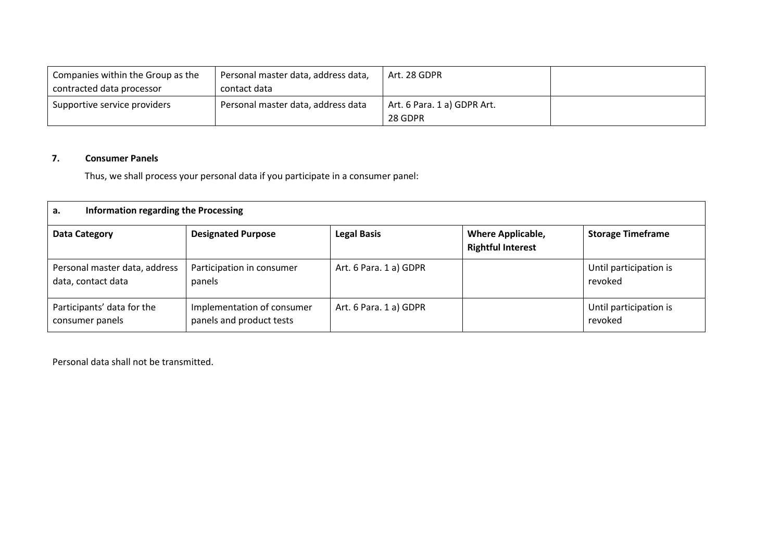| Companies within the Group as the | Personal master data, address data, | Art. 28 GDPR                           |  |
|-----------------------------------|-------------------------------------|----------------------------------------|--|
| contracted data processor         | contact data                        |                                        |  |
| Supportive service providers      | Personal master data, address data  | Art. 6 Para. 1 a) GDPR Art.<br>28 GDPR |  |

## **7. Consumer Panels**

Thus, we shall process your personal data if you participate in a consumer panel:

| Information regarding the Processing<br>a.          |                                                        |                        |                                                      |                                   |  |
|-----------------------------------------------------|--------------------------------------------------------|------------------------|------------------------------------------------------|-----------------------------------|--|
| <b>Data Category</b>                                | <b>Designated Purpose</b>                              | <b>Legal Basis</b>     | <b>Where Applicable,</b><br><b>Rightful Interest</b> | <b>Storage Timeframe</b>          |  |
| Personal master data, address<br>data, contact data | Participation in consumer<br>panels                    | Art. 6 Para. 1 a) GDPR |                                                      | Until participation is<br>revoked |  |
| Participants' data for the<br>consumer panels       | Implementation of consumer<br>panels and product tests | Art. 6 Para. 1 a) GDPR |                                                      | Until participation is<br>revoked |  |

Personal data shall not be transmitted.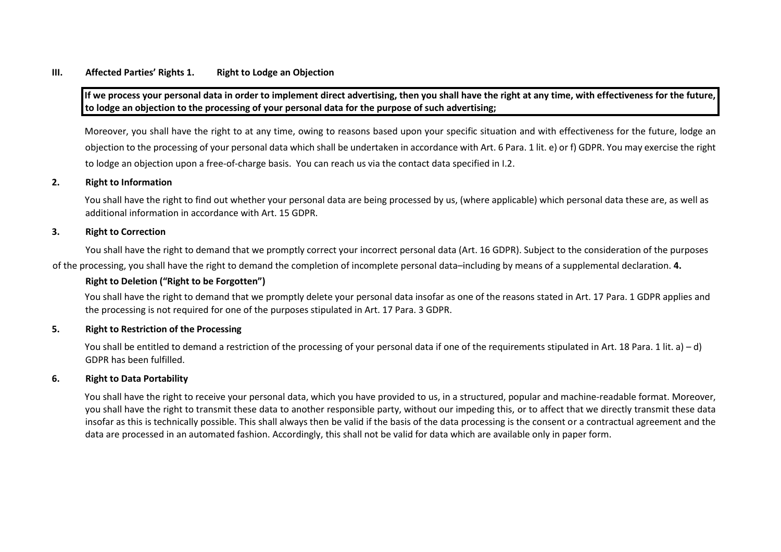### **III. Affected Parties' Rights 1. Right to Lodge an Objection**

**If we process your personal data in order to implement direct advertising, then you shall have the right at any time, with effectiveness for the future, to lodge an objection to the processing of your personal data for the purpose of such advertising;** 

Moreover, you shall have the right to at any time, owing to reasons based upon your specific situation and with effectiveness for the future, lodge an objection to the processing of your personal data which shall be undertaken in accordance with Art. 6 Para. 1 lit. e) or f) GDPR. You may exercise the right to lodge an objection upon a free-of-charge basis. You can reach us via the contact data specified in I.2.

#### **2. Right to Information**

You shall have the right to find out whether your personal data are being processed by us, (where applicable) which personal data these are, as well as additional information in accordance with Art. 15 GDPR.

### **3. Right to Correction**

You shall have the right to demand that we promptly correct your incorrect personal data (Art. 16 GDPR). Subject to the consideration of the purposes

of the processing, you shall have the right to demand the completion of incomplete personal data–including by means of a supplemental declaration. **4.**

#### **Right to Deletion ("Right to be Forgotten")**

You shall have the right to demand that we promptly delete your personal data insofar as one of the reasons stated in Art. 17 Para. 1 GDPR applies and the processing is not required for one of the purposes stipulated in Art. 17 Para. 3 GDPR.

#### **5. Right to Restriction of the Processing**

You shall be entitled to demand a restriction of the processing of your personal data if one of the requirements stipulated in Art. 18 Para. 1 lit. a) – d) GDPR has been fulfilled.

#### **6. Right to Data Portability**

You shall have the right to receive your personal data, which you have provided to us, in a structured, popular and machine-readable format. Moreover, you shall have the right to transmit these data to another responsible party, without our impeding this, or to affect that we directly transmit these data insofar as this is technically possible. This shall always then be valid if the basis of the data processing is the consent or a contractual agreement and the data are processed in an automated fashion. Accordingly, this shall not be valid for data which are available only in paper form.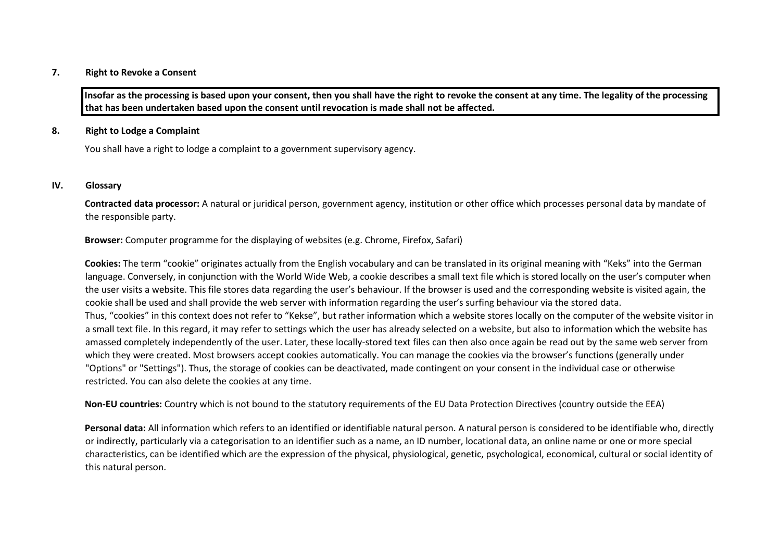#### **7. Right to Revoke a Consent**

**Insofar as the processing is based upon your consent, then you shall have the right to revoke the consent at any time. The legality of the processing that has been undertaken based upon the consent until revocation is made shall not be affected.** 

### **8. Right to Lodge a Complaint**

You shall have a right to lodge a complaint to a government supervisory agency.

#### **IV. Glossary**

**Contracted data processor:** A natural or juridical person, government agency, institution or other office which processes personal data by mandate of the responsible party.

**Browser:** Computer programme for the displaying of websites (e.g. Chrome, Firefox, Safari)

**Cookies:** The term "cookie" originates actually from the English vocabulary and can be translated in its original meaning with "Keks" into the German language. Conversely, in conjunction with the World Wide Web, a cookie describes a small text file which is stored locally on the user's computer when the user visits a website. This file stores data regarding the user's behaviour. If the browser is used and the corresponding website is visited again, the cookie shall be used and shall provide the web server with information regarding the user's surfing behaviour via the stored data. Thus, "cookies" in this context does not refer to "Kekse", but rather information which a website stores locally on the computer of the website visitor in a small text file. In this regard, it may refer to settings which the user has already selected on a website, but also to information which the website has amassed completely independently of the user. Later, these locally-stored text files can then also once again be read out by the same web server from which they were created. Most browsers accept cookies automatically. You can manage the cookies via the browser's functions (generally under "Options" or "Settings"). Thus, the storage of cookies can be deactivated, made contingent on your consent in the individual case or otherwise restricted. You can also delete the cookies at any time.

**Non‐EU countries:** Country which is not bound to the statutory requirements of the EU Data Protection Directives (country outside the EEA)

**Personal data:** All information which refers to an identified or identifiable natural person. A natural person is considered to be identifiable who, directly or indirectly, particularly via a categorisation to an identifier such as a name, an ID number, locational data, an online name or one or more special characteristics, can be identified which are the expression of the physical, physiological, genetic, psychological, economical, cultural or social identity of this natural person.